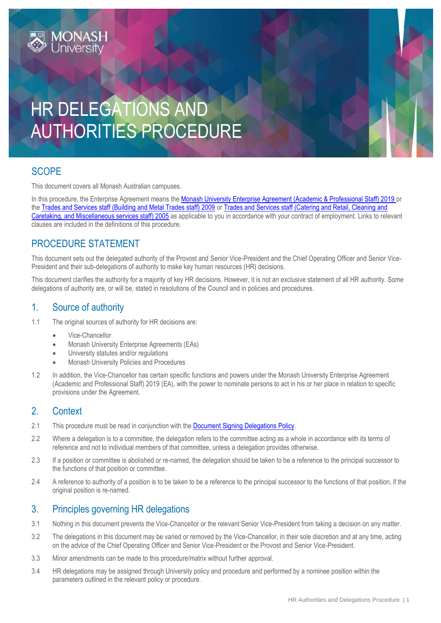

# **SCOPE**

This document covers all Monash Australian campuses.

In this procedure, the Enterprise Agreement means the [Monash University Enterprise Agreement \(Academic & Professional Staff\) 2019](https://www.monash.edu/current-enterprise-agreements/academic-professional-2019) or the [Trades and Services staff \(Building and Metal Trades staff\) 2009](https://www.monash.edu/current-enterprise-agreements/trades-services-bmt-2009) or [Trades and Services staff \(Catering and Retail, Cleaning and](https://www.monash.edu/current-enterprise-agreements/trades-services-crccm-2005)  [Caretaking, and Miscellaneous services staff\) 2005](https://www.monash.edu/current-enterprise-agreements/trades-services-crccm-2005) as applicable to you in accordance with your contract of employment. Links to relevant clauses are included in the definitions of this procedure.

### PROCEDURE STATEMENT

**MONASH**<br>Universitv

This document sets out the delegated authority of the Provost and Senior Vice-President and the Chief Operating Officer and Senior Vice-President and their sub-delegations of authority to make key human resources (HR) decisions.

This document clarifies the authority for a majority of key HR decisions. However, it is not an exclusive statement of all HR authority. Some delegations of authority are, or will be, stated in resolutions of the Council and in policies and procedures.

### 1. Source of authority

- 1.1 The original sources of authority for HR decisions are:
	- Vice-Chancellor
	- Monash University Enterprise Agreements (EAs)
	- University statutes and/or regulations
	- Monash University Policies and Procedures
- 1.2 In addition, the Vice-Chancellor has certain specific functions and powers under the Monash University Enterprise Agreement (Academic and Professional Staff) 2019 (EA), with the power to nominate persons to act in his or her place in relation to specific provisions under the Agreement.

#### 2. Context

- 2.1 This procedure must be read in conjunction with the [Document Signing Delegations Policy.](https://www.monash.edu/__data/assets/pdf_file/0011/1039844/Document-Signing-Delegations-Policy.pdf)
- 2.2 Where a delegation is to a committee, the delegation refers to the committee acting as a whole in accordance with its terms of reference and not to individual members of that committee, unless a delegation provides otherwise.
- 2.3 If a position or committee is abolished or re-named, the delegation should be taken to be a reference to the principal successor to the functions of that position or committee.
- 2.4 A reference to authority of a position is to be taken to be a reference to the principal successor to the functions of that position, if the original position is re-named.

#### 3. Principles governing HR delegations

- 3.1 Nothing in this document prevents the Vice-Chancellor or the relevant Senior Vice-President from taking a decision on any matter.
- 3.2 The delegations in this document may be varied or removed by the Vice-Chancellor, in their sole discretion and at any time, acting on the advice of the Chief Operating Officer and Senior Vice-President or the Provost and Senior Vice-President.
- 3.3 Minor amendments can be made to this procedure/matrix without further approval.
- 3.4 HR delegations may be assigned through University policy and procedure and performed by a nominee position within the parameters outlined in the relevant policy or procedure.